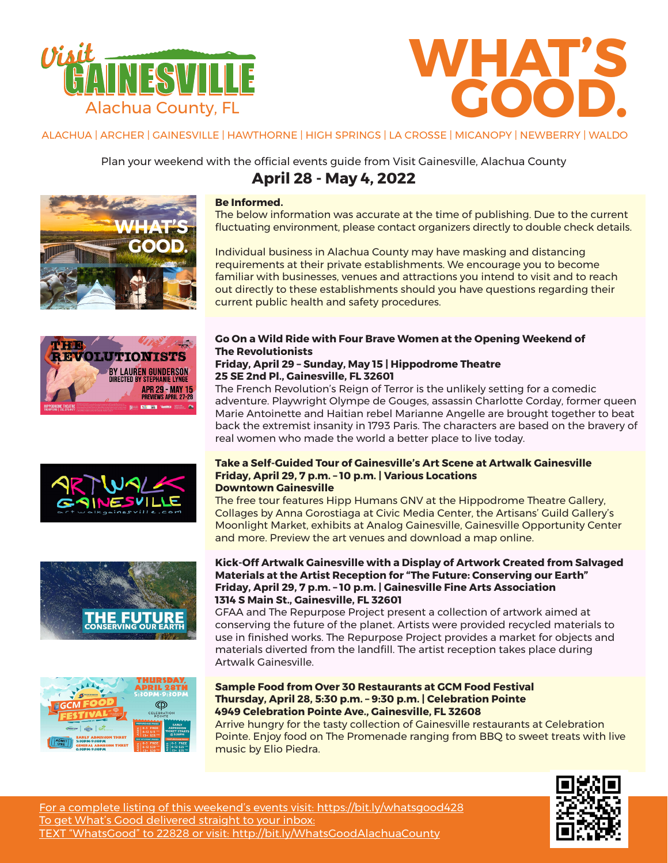



ALACHUA | ARCHER | GAINESVILLE | HAWTHORNE | HIGH SPRINGS | LA CROSSE | MICANOPY | NEWBERRY | WALDO

Plan your weekend with the official events guide from Visit Gainesville, Alachua County













# **Be Informed.**

The below information was accurate at the time of publishing. Due to the current fluctuating environment, please contact organizers directly to double check details.

Individual business in Alachua County may have masking and distancing requirements at their private establishments. We encourage you to become familiar with businesses, venues and attractions you intend to visit and to reach out directly to these establishments should you have questions regarding their current public health and safety procedures.

# **Go On a Wild Ride with Four Brave Women at the Opening Weekend of The Revolutionists**

## **Friday, April 29 – Sunday, May 15 | Hippodrome Theatre 25 SE 2nd Pl., Gainesville, FL 32601**

The French Revolution's Reign of Terror is the unlikely setting for a comedic adventure. Playwright Olympe de Gouges, assassin Charlotte Corday, former queen Marie Antoinette and Haitian rebel Marianne Angelle are brought together to beat back the extremist insanity in 1793 Paris. The characters are based on the bravery of real women who made the world a better place to live today.

## **Take a Self-Guided Tour of Gainesville's Art Scene at Artwalk Gainesville Friday, April 29, 7 p.m. – 10 p.m. | Various Locations Downtown Gainesville**

The free tour features Hipp Humans GNV at the Hippodrome Theatre Gallery, Collages by Anna Gorostiaga at Civic Media Center, the Artisans' Guild Gallery's Moonlight Market, exhibits at Analog Gainesville, Gainesville Opportunity Center and more. Preview the art venues and download a map online.

## **Kick-Off Artwalk Gainesville with a Display of Artwork Created from Salvaged Materials at the Artist Reception for "The Future: Conserving our Earth" Friday, April 29, 7 p.m. – 10 p.m. | Gainesville Fine Arts Association 1314 S Main St., Gainesville, FL 32601**

GFAA and The Repurpose Project present a collection of artwork aimed at conserving the future of the planet. Artists were provided recycled materials to use in finished works. The Repurpose Project provides a market for objects and materials diverted from the landfill. The artist reception takes place during Artwalk Gainesville.

**Sample Food from Over 30 Restaurants at GCM Food Festival Thursday, April 28, 5:30 p.m. – 9:30 p.m. | Celebration Pointe 4949 Celebration Pointe Ave., Gainesville, FL 32608** 

Arrive hungry for the tasty collection of Gainesville restaurants at Celebration Pointe. Enjoy food on The Promenade ranging from BBQ to sweet treats with live music by Elio Piedra.